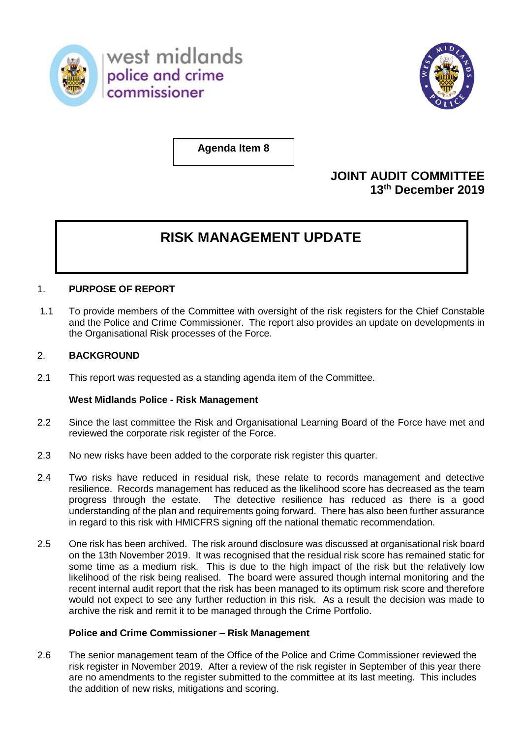

west midlands police and crime commissioner



**Agenda Item 8**

# **JOINT AUDIT COMMITTEE 13th December 2019**

# **RISK MANAGEMENT UPDATE**

## 1. **PURPOSE OF REPORT**

1.1 To provide members of the Committee with oversight of the risk registers for the Chief Constable and the Police and Crime Commissioner. The report also provides an update on developments in the Organisational Risk processes of the Force.

## 2. **BACKGROUND**

2.1 This report was requested as a standing agenda item of the Committee.

#### **West Midlands Police - Risk Management**

- 2.2 Since the last committee the Risk and Organisational Learning Board of the Force have met and reviewed the corporate risk register of the Force.
- 2.3 No new risks have been added to the corporate risk register this quarter.
- 2.4 Two risks have reduced in residual risk, these relate to records management and detective resilience. Records management has reduced as the likelihood score has decreased as the team progress through the estate. The detective resilience has reduced as there is a good understanding of the plan and requirements going forward. There has also been further assurance in regard to this risk with HMICFRS signing off the national thematic recommendation.
- 2.5 One risk has been archived. The risk around disclosure was discussed at organisational risk board on the 13th November 2019. It was recognised that the residual risk score has remained static for some time as a medium risk. This is due to the high impact of the risk but the relatively low likelihood of the risk being realised. The board were assured though internal monitoring and the recent internal audit report that the risk has been managed to its optimum risk score and therefore would not expect to see any further reduction in this risk. As a result the decision was made to archive the risk and remit it to be managed through the Crime Portfolio.

#### **Police and Crime Commissioner – Risk Management**

2.6 The senior management team of the Office of the Police and Crime Commissioner reviewed the risk register in November 2019. After a review of the risk register in September of this year there are no amendments to the register submitted to the committee at its last meeting. This includes the addition of new risks, mitigations and scoring.